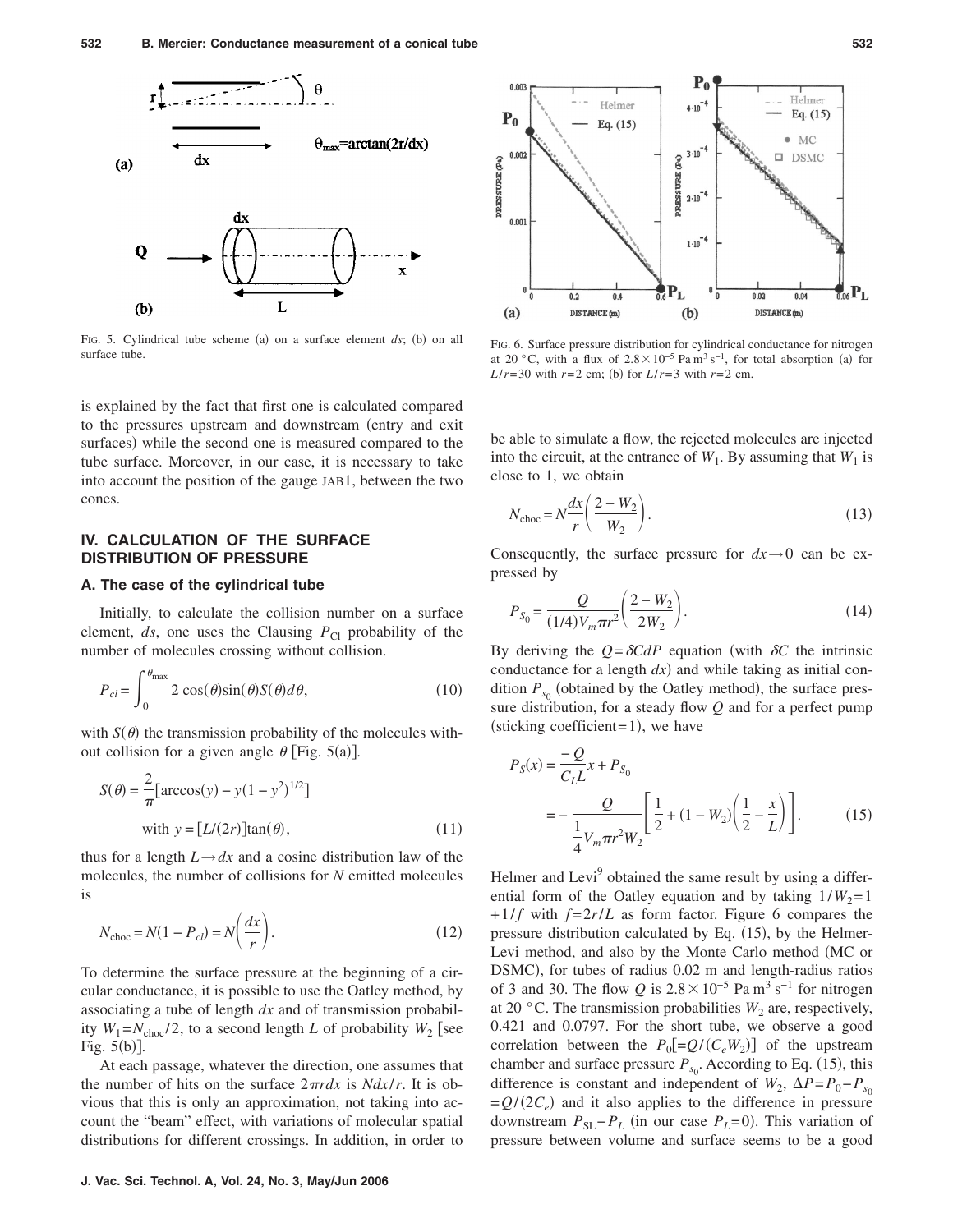

FIG. 5. Cylindrical tube scheme (a) on a surface element  $ds$ ; (b) on all surface tube.

is explained by the fact that first one is calculated compared to the pressures upstream and downstream (entry and exit surfaces) while the second one is measured compared to the tube surface. Moreover, in our case, it is necessary to take into account the position of the gauge JAB1, between the two cones.

## **IV. CALCULATION OF THE SURFACE DISTRIBUTION OF PRESSURE**

## **A. The case of the cylindrical tube**

Initially, to calculate the collision number on a surface element,  $ds$ , one uses the Clausing  $P_{\text{Cl}}$  probability of the number of molecules crossing without collision.

$$
P_{cl} = \int_0^{\theta_{\text{max}}} 2 \cos(\theta) \sin(\theta) S(\theta) d\theta, \qquad (10)
$$

with  $S(\theta)$  the transmission probability of the molecules without collision for a given angle  $\theta$  [Fig. 5(a)].

$$
S(\theta) = \frac{2}{\pi} \left[ \arccos(y) - y(1 - y^2)^{1/2} \right]
$$
  
with  $y = \left[ L/(2r) \right] \tan(\theta)$ , (11)

thus for a length  $L \rightarrow dx$  and a cosine distribution law of the molecules, the number of collisions for *N* emitted molecules is

$$
N_{\text{choc}} = N(1 - P_{cl}) = N\left(\frac{dx}{r}\right). \tag{12}
$$

To determine the surface pressure at the beginning of a circular conductance, it is possible to use the Oatley method, by associating a tube of length *dx* and of transmission probability  $W_1 = N_{\text{choc}}/2$ , to a second length *L* of probability  $W_2$  [see Fig.  $5(b)$ ].

At each passage, whatever the direction, one assumes that the number of hits on the surface  $2\pi r dx$  is *Ndx/r*. It is obvious that this is only an approximation, not taking into account the "beam" effect, with variations of molecular spatial distributions for different crossings. In addition, in order to



FIG. 6. Surface pressure distribution for cylindrical conductance for nitrogen at 20 °C, with a flux of  $2.8 \times 10^{-5}$  Pa m<sup>3</sup> s<sup>-1</sup>, for total absorption (a) for *L*/*r*=30 with *r*=2 cm; (b) for *L*/*r*=3 with *r*=2 cm.

be able to simulate a flow, the rejected molecules are injected into the circuit, at the entrance of  $W_1$ . By assuming that  $W_1$  is close to 1, we obtain

$$
N_{\rm choc} = N \frac{dx}{r} \left( \frac{2 - W_2}{W_2} \right). \tag{13}
$$

Consequently, the surface pressure for  $dx \rightarrow 0$  can be expressed by

$$
P_{S_0} = \frac{Q}{(1/4)V_m \pi r^2} \left(\frac{2 - W_2}{2W_2}\right).
$$
 (14)

By deriving the  $Q = \delta C dP$  equation (with  $\delta C$  the intrinsic conductance for a length  $dx$ ) and while taking as initial condition  $P_{s_0}$  (obtained by the Oatley method), the surface pressure distribution, for a steady flow *Q* and for a perfect pump  $(\text{sticking coefficient}= 1)$ , we have

$$
P_S(x) = \frac{-Q}{C_L L} x + P_{S_0}
$$
  
= 
$$
-\frac{Q}{\frac{1}{4}V_m \pi r^2 W_2} \left[ \frac{1}{2} + (1 - W_2) \left( \frac{1}{2} - \frac{x}{L} \right) \right].
$$
 (15)

Helmer and Levi<sup>9</sup> obtained the same result by using a differential form of the Oatley equation and by taking  $1/W_2=1$  $+1/f$  with  $f=2r/L$  as form factor. Figure 6 compares the pressure distribution calculated by Eq. (15), by the Helmer-Levi method, and also by the Monte Carlo method MC or DSMC), for tubes of radius 0.02 m and length-radius ratios of 3 and 30. The flow *Q* is  $2.8 \times 10^{-5}$  Pa m<sup>3</sup> s<sup>-1</sup> for nitrogen at 20 $\degree$ C. The transmission probabilities  $W_2$  are, respectively, 0.421 and 0.0797. For the short tube, we observe a good correlation between the  $P_0[=Q/(C_eW_2)]$  of the upstream chamber and surface pressure  $P_{s_0}$ . According to Eq. (15), this difference is constant and independent of  $W_2$ ,  $\Delta P = P_0 - P_{s_0}$  $=Q/(2C_e)$  and it also applies to the difference in pressure downstream  $P_{SL}-P_L$  (in our case  $P_L=0$ ). This variation of pressure between volume and surface seems to be a good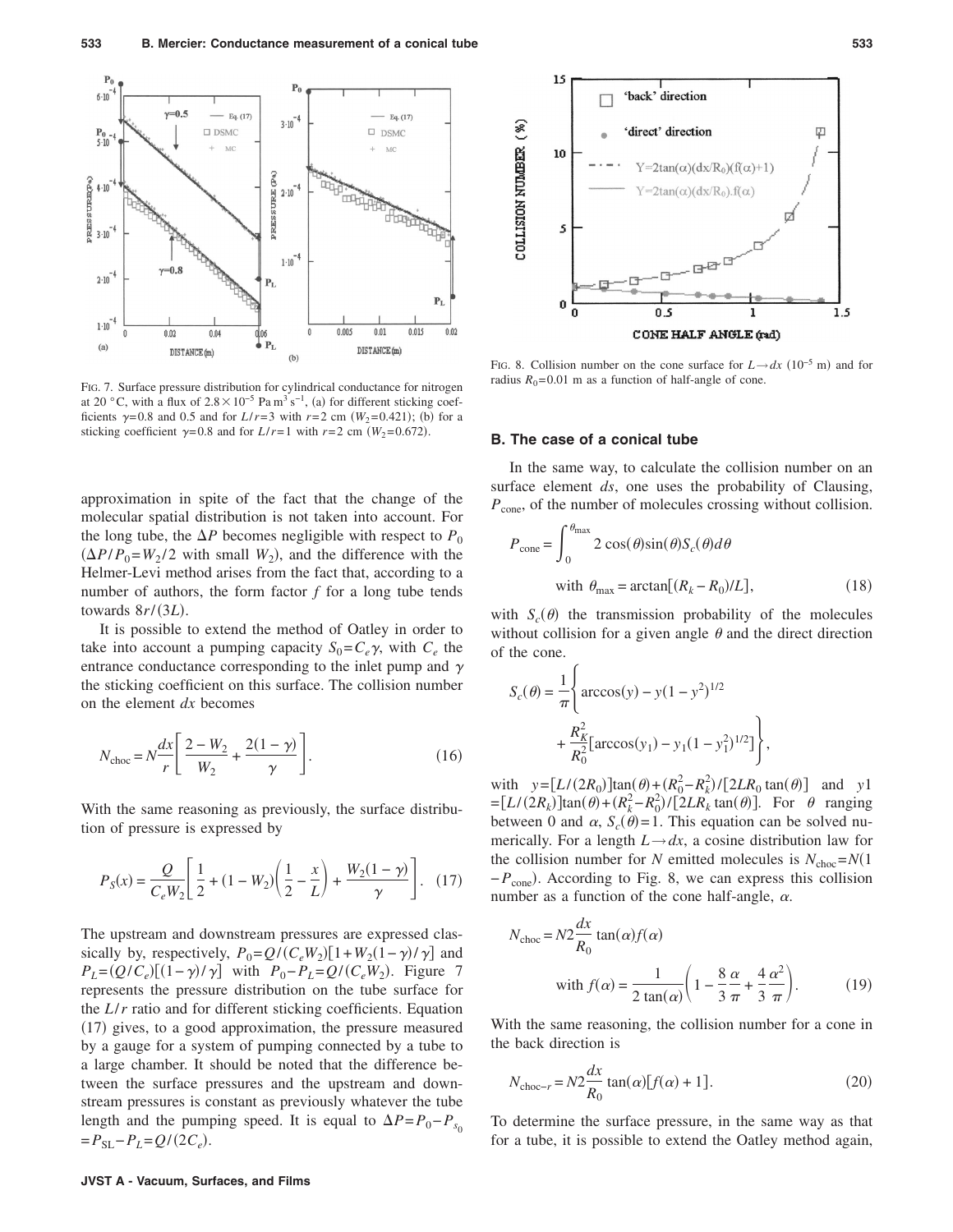

FIG. 7. Surface pressure distribution for cylindrical conductance for nitrogen at 20 °C, with a flux of  $2.8 \times 10^{-5}$  Pa m<sup>3</sup> s<sup>-1</sup>, (a) for different sticking coefficients  $\gamma = 0.8$  and 0.5 and for  $L/r = 3$  with  $r = 2$  cm  $(W_2 = 0.421)$ ; (b) for a sticking coefficient  $\gamma = 0.8$  and for *L*/*r*=1 with *r*=2 cm *(W*<sub>2</sub>=0.672).

approximation in spite of the fact that the change of the molecular spatial distribution is not taken into account. For the long tube, the  $\Delta P$  becomes negligible with respect to  $P_0$  $(\Delta P/P_0 = W_2/2$  with small  $W_2$ ), and the difference with the Helmer-Levi method arises from the fact that, according to a number of authors, the form factor *f* for a long tube tends towards  $8r/(3L)$ .

It is possible to extend the method of Oatley in order to take into account a pumping capacity  $S_0 = C_e \gamma$ , with  $C_e$  the entrance conductance corresponding to the inlet pump and  $\gamma$ the sticking coefficient on this surface. The collision number on the element *dx* becomes

$$
N_{\rm choc} = N \frac{dx}{r} \left[ \frac{2 - W_2}{W_2} + \frac{2(1 - \gamma)}{\gamma} \right].
$$
 (16)

With the same reasoning as previously, the surface distribution of pressure is expressed by

$$
P_S(x) = \frac{Q}{C_e W_2} \left[ \frac{1}{2} + (1 - W_2) \left( \frac{1}{2} - \frac{x}{L} \right) + \frac{W_2 (1 - \gamma)}{\gamma} \right].
$$
 (17)

The upstream and downstream pressures are expressed classically by, respectively,  $P_0 = Q/(C_eW_2)[1 + W_2(1 - \gamma)/\gamma]$  and  $P_L = (Q/C_e)[(1-\gamma)/\gamma]$  with  $P_0 - P_L = Q/(C_eW_2)$ . Figure 7 represents the pressure distribution on the tube surface for the *L*/*r* ratio and for different sticking coefficients. Equation (17) gives, to a good approximation, the pressure measured by a gauge for a system of pumping connected by a tube to a large chamber. It should be noted that the difference between the surface pressures and the upstream and downstream pressures is constant as previously whatever the tube length and the pumping speed. It is equal to  $\Delta P = P_0 - P_{s_0}$  $= P_{\text{SL}} - P_L = Q/(2C_e).$ 



FIG. 8. Collision number on the cone surface for  $L \rightarrow dx$  (10<sup>-5</sup> m) and for radius  $R_0$ = 0.01 m as a function of half-angle of cone.

## **B. The case of a conical tube**

In the same way, to calculate the collision number on an surface element *ds*, one uses the probability of Clausing, *P*<sub>cone</sub>, of the number of molecules crossing without collision.

$$
P_{\text{cone}} = \int_0^{\theta_{\text{max}}} 2 \cos(\theta) \sin(\theta) S_c(\theta) d\theta
$$
  
with  $\theta_{\text{max}} = \arctan[(R_k - R_0)/L],$  (18)

with  $S_c(\theta)$  the transmission probability of the molecules without collision for a given angle  $\theta$  and the direct direction of the cone.

$$
S_c(\theta) = \frac{1}{\pi} \left\{ \arccos(y) - y(1 - y^2)^{1/2} + \frac{R_K^2}{R_0^2} \left[ \arccos(y_1) - y_1(1 - y_1^2)^{1/2} \right] \right\},\,
$$

with  $y = [L/(2R_0)]\tan(\theta) + (R_0^2 - R_k^2)/[2LR_0 \tan(\theta)]$  and *y*1  $=[L/(2R_k)]\tan(\theta) + (R_k^2 - R_0^2)/[2LR_k\tan(\theta)].$  For  $\theta$  ranging between 0 and  $\alpha$ ,  $S_c(\theta) = 1$ . This equation can be solved numerically. For a length  $L \rightarrow dx$ , a cosine distribution law for the collision number for *N* emitted molecules is  $N_{\text{choc}} = N(1$ − *P*<sub>cone</sub>). According to Fig. 8, we can express this collision number as a function of the cone half-angle,  $\alpha$ .

$$
N_{\text{choc}} = N2 \frac{dx}{R_0} \tan(\alpha) f(\alpha)
$$
  
with  $f(\alpha) = \frac{1}{2 \tan(\alpha)} \left( 1 - \frac{8 \alpha}{3 \pi} + \frac{4 \alpha^2}{3 \pi} \right)$ . (19)

With the same reasoning, the collision number for a cone in the back direction is

$$
N_{\text{choc-}r} = N2 \frac{dx}{R_0} \tan(\alpha) [f(\alpha) + 1]. \tag{20}
$$

To determine the surface pressure, in the same way as that for a tube, it is possible to extend the Oatley method again,